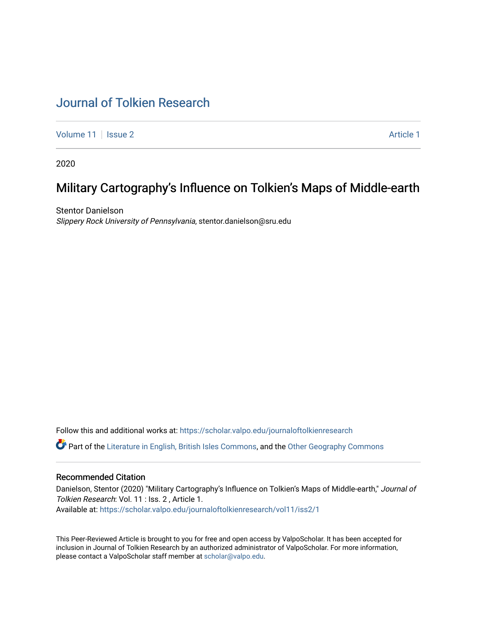# [Journal of Tolkien Research](https://scholar.valpo.edu/journaloftolkienresearch)

[Volume 11](https://scholar.valpo.edu/journaloftolkienresearch/vol11) | [Issue 2](https://scholar.valpo.edu/journaloftolkienresearch/vol11/iss2) Article 1

2020

# Military Cartography's Influence on Tolkien's Maps of Middle-earth

Stentor Danielson Slippery Rock University of Pennsylvania, stentor.danielson@sru.edu

Follow this and additional works at: [https://scholar.valpo.edu/journaloftolkienresearch](https://scholar.valpo.edu/journaloftolkienresearch?utm_source=scholar.valpo.edu%2Fjournaloftolkienresearch%2Fvol11%2Fiss2%2F1&utm_medium=PDF&utm_campaign=PDFCoverPages) 

Part of the [Literature in English, British Isles Commons](http://network.bepress.com/hgg/discipline/456?utm_source=scholar.valpo.edu%2Fjournaloftolkienresearch%2Fvol11%2Fiss2%2F1&utm_medium=PDF&utm_campaign=PDFCoverPages), and the [Other Geography Commons](http://network.bepress.com/hgg/discipline/359?utm_source=scholar.valpo.edu%2Fjournaloftolkienresearch%2Fvol11%2Fiss2%2F1&utm_medium=PDF&utm_campaign=PDFCoverPages) 

# Recommended Citation

Danielson, Stentor (2020) "Military Cartography's Influence on Tolkien's Maps of Middle-earth," Journal of Tolkien Research: Vol. 11 : Iss. 2 , Article 1. Available at: [https://scholar.valpo.edu/journaloftolkienresearch/vol11/iss2/1](https://scholar.valpo.edu/journaloftolkienresearch/vol11/iss2/1?utm_source=scholar.valpo.edu%2Fjournaloftolkienresearch%2Fvol11%2Fiss2%2F1&utm_medium=PDF&utm_campaign=PDFCoverPages) 

This Peer-Reviewed Article is brought to you for free and open access by ValpoScholar. It has been accepted for inclusion in Journal of Tolkien Research by an authorized administrator of ValpoScholar. For more information, please contact a ValpoScholar staff member at [scholar@valpo.edu](mailto:scholar@valpo.edu).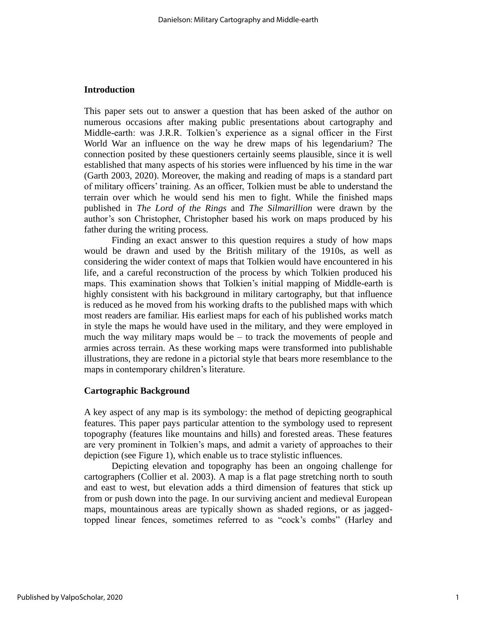# **Introduction**

This paper sets out to answer a question that has been asked of the author on numerous occasions after making public presentations about cartography and Middle-earth: was J.R.R. Tolkien's experience as a signal officer in the First World War an influence on the way he drew maps of his legendarium? The connection posited by these questioners certainly seems plausible, since it is well established that many aspects of his stories were influenced by his time in the war (Garth 2003, 2020). Moreover, the making and reading of maps is a standard part of military officers' training. As an officer, Tolkien must be able to understand the terrain over which he would send his men to fight. While the finished maps published in *The Lord of the Rings* and *The Silmarillion* were drawn by the author's son Christopher, Christopher based his work on maps produced by his father during the writing process.

Finding an exact answer to this question requires a study of how maps would be drawn and used by the British military of the 1910s, as well as considering the wider context of maps that Tolkien would have encountered in his life, and a careful reconstruction of the process by which Tolkien produced his maps. This examination shows that Tolkien's initial mapping of Middle-earth is highly consistent with his background in military cartography, but that influence is reduced as he moved from his working drafts to the published maps with which most readers are familiar. His earliest maps for each of his published works match in style the maps he would have used in the military, and they were employed in much the way military maps would be  $-$  to track the movements of people and armies across terrain. As these working maps were transformed into publishable illustrations, they are redone in a pictorial style that bears more resemblance to the maps in contemporary children's literature.

# **Cartographic Background**

A key aspect of any map is its symbology: the method of depicting geographical features. This paper pays particular attention to the symbology used to represent topography (features like mountains and hills) and forested areas. These features are very prominent in Tolkien's maps, and admit a variety of approaches to their depiction (see Figure 1), which enable us to trace stylistic influences.

Depicting elevation and topography has been an ongoing challenge for cartographers (Collier et al. 2003). A map is a flat page stretching north to south and east to west, but elevation adds a third dimension of features that stick up from or push down into the page. In our surviving ancient and medieval European maps, mountainous areas are typically shown as shaded regions, or as jaggedtopped linear fences, sometimes referred to as "cock's combs" (Harley and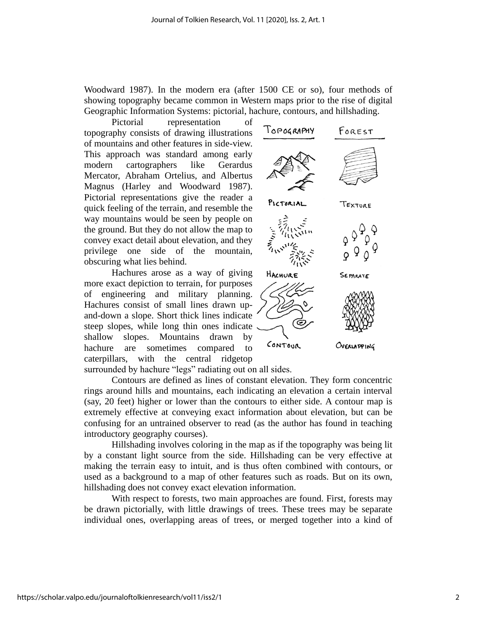Woodward 1987). In the modern era (after 1500 CE or so), four methods of showing topography became common in Western maps prior to the rise of digital Geographic Information Systems: pictorial, hachure, contours, and hillshading.

Pictorial representation of topography consists of drawing illustrations of mountains and other features in side-view. This approach was standard among early modern cartographers like Gerardus Mercator, Abraham Ortelius, and Albertus Magnus (Harley and Woodward 1987). Pictorial representations give the reader a quick feeling of the terrain, and resemble the way mountains would be seen by people on the ground. But they do not allow the map to convey exact detail about elevation, and they privilege one side of the mountain, obscuring what lies behind.

Hachures arose as a way of giving more exact depiction to terrain, for purposes of engineering and military planning. Hachures consist of small lines drawn upand-down a slope. Short thick lines indicate steep slopes, while long thin ones indicate shallow slopes. Mountains drawn by hachure are sometimes compared to caterpillars, with the central ridgetop



surrounded by hachure "legs" radiating out on all sides.

Contours are defined as lines of constant elevation. They form concentric rings around hills and mountains, each indicating an elevation a certain interval (say, 20 feet) higher or lower than the contours to either side. A contour map is extremely effective at conveying exact information about elevation, but can be confusing for an untrained observer to read (as the author has found in teaching introductory geography courses).

Hillshading involves coloring in the map as if the topography was being lit by a constant light source from the side. Hillshading can be very effective at making the terrain easy to intuit, and is thus often combined with contours, or used as a background to a map of other features such as roads. But on its own, hillshading does not convey exact elevation information.

With respect to forests, two main approaches are found. First, forests may be drawn pictorially, with little drawings of trees. These trees may be separate individual ones, overlapping areas of trees, or merged together into a kind of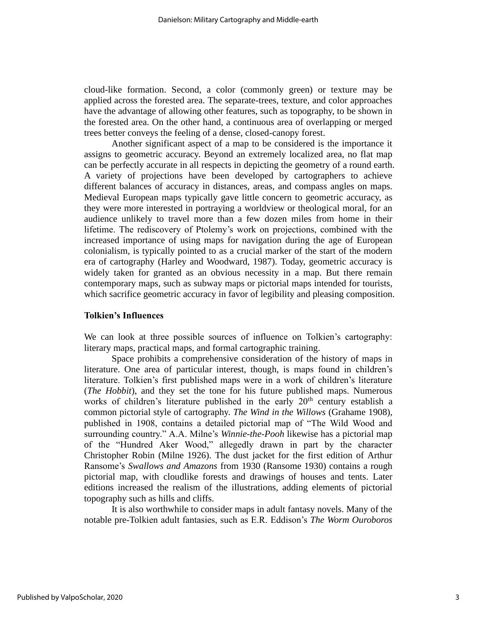cloud-like formation. Second, a color (commonly green) or texture may be applied across the forested area. The separate-trees, texture, and color approaches have the advantage of allowing other features, such as topography, to be shown in the forested area. On the other hand, a continuous area of overlapping or merged trees better conveys the feeling of a dense, closed-canopy forest.

Another significant aspect of a map to be considered is the importance it assigns to geometric accuracy. Beyond an extremely localized area, no flat map can be perfectly accurate in all respects in depicting the geometry of a round earth. A variety of projections have been developed by cartographers to achieve different balances of accuracy in distances, areas, and compass angles on maps. Medieval European maps typically gave little concern to geometric accuracy, as they were more interested in portraying a worldview or theological moral, for an audience unlikely to travel more than a few dozen miles from home in their lifetime. The rediscovery of Ptolemy's work on projections, combined with the increased importance of using maps for navigation during the age of European colonialism, is typically pointed to as a crucial marker of the start of the modern era of cartography (Harley and Woodward, 1987). Today, geometric accuracy is widely taken for granted as an obvious necessity in a map. But there remain contemporary maps, such as subway maps or pictorial maps intended for tourists, which sacrifice geometric accuracy in favor of legibility and pleasing composition.

# **Tolkien's Influences**

We can look at three possible sources of influence on Tolkien's cartography: literary maps, practical maps, and formal cartographic training.

Space prohibits a comprehensive consideration of the history of maps in literature. One area of particular interest, though, is maps found in children's literature. Tolkien's first published maps were in a work of children's literature (*The Hobbit*), and they set the tone for his future published maps. Numerous works of children's literature published in the early  $20<sup>th</sup>$  century establish a common pictorial style of cartography. *The Wind in the Willows* (Grahame 1908), published in 1908, contains a detailed pictorial map of "The Wild Wood and surrounding country." A.A. Milne's *Winnie-the-Pooh* likewise has a pictorial map of the "Hundred Aker Wood," allegedly drawn in part by the character Christopher Robin (Milne 1926). The dust jacket for the first edition of Arthur Ransome's *Swallows and Amazons* from 1930 (Ransome 1930) contains a rough pictorial map, with cloudlike forests and drawings of houses and tents. Later editions increased the realism of the illustrations, adding elements of pictorial topography such as hills and cliffs.

It is also worthwhile to consider maps in adult fantasy novels. Many of the notable pre-Tolkien adult fantasies, such as E.R. Eddison's *The Worm Ouroboros*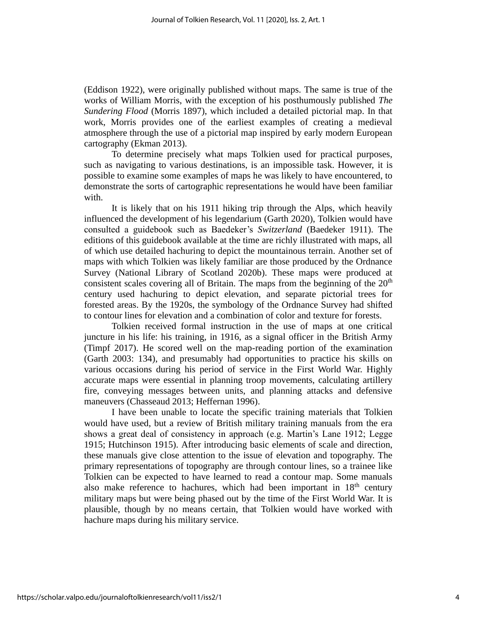(Eddison 1922), were originally published without maps. The same is true of the works of William Morris, with the exception of his posthumously published *The Sundering Flood* (Morris 1897), which included a detailed pictorial map. In that work, Morris provides one of the earliest examples of creating a medieval atmosphere through the use of a pictorial map inspired by early modern European cartography (Ekman 2013).

To determine precisely what maps Tolkien used for practical purposes, such as navigating to various destinations, is an impossible task. However, it is possible to examine some examples of maps he was likely to have encountered, to demonstrate the sorts of cartographic representations he would have been familiar with.

It is likely that on his 1911 hiking trip through the Alps, which heavily influenced the development of his legendarium (Garth 2020), Tolkien would have consulted a guidebook such as Baedeker's *Switzerland* (Baedeker 1911). The editions of this guidebook available at the time are richly illustrated with maps, all of which use detailed hachuring to depict the mountainous terrain. Another set of maps with which Tolkien was likely familiar are those produced by the Ordnance Survey (National Library of Scotland 2020b). These maps were produced at consistent scales covering all of Britain. The maps from the beginning of the  $20<sup>th</sup>$ century used hachuring to depict elevation, and separate pictorial trees for forested areas. By the 1920s, the symbology of the Ordnance Survey had shifted to contour lines for elevation and a combination of color and texture for forests.

Tolkien received formal instruction in the use of maps at one critical juncture in his life: his training, in 1916, as a signal officer in the British Army (Timpf 2017). He scored well on the map-reading portion of the examination (Garth 2003: 134), and presumably had opportunities to practice his skills on various occasions during his period of service in the First World War. Highly accurate maps were essential in planning troop movements, calculating artillery fire, conveying messages between units, and planning attacks and defensive maneuvers (Chasseaud 2013; Heffernan 1996).

I have been unable to locate the specific training materials that Tolkien would have used, but a review of British military training manuals from the era shows a great deal of consistency in approach (e.g. Martin's Lane 1912; Legge 1915; Hutchinson 1915). After introducing basic elements of scale and direction, these manuals give close attention to the issue of elevation and topography. The primary representations of topography are through contour lines, so a trainee like Tolkien can be expected to have learned to read a contour map. Some manuals also make reference to hachures, which had been important in  $18<sup>th</sup>$  century military maps but were being phased out by the time of the First World War. It is plausible, though by no means certain, that Tolkien would have worked with hachure maps during his military service.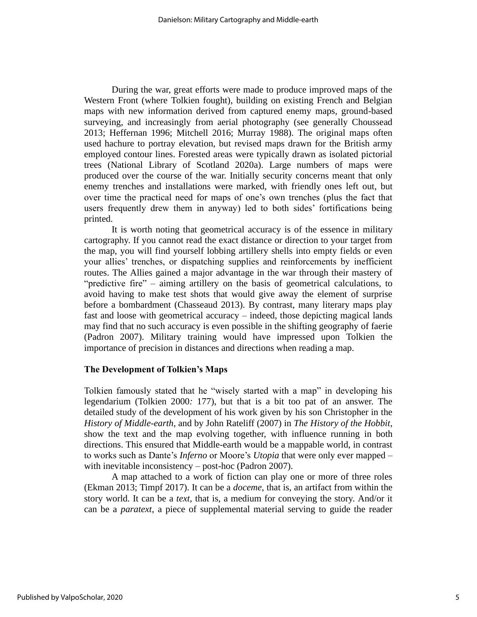During the war, great efforts were made to produce improved maps of the Western Front (where Tolkien fought), building on existing French and Belgian maps with new information derived from captured enemy maps, ground-based surveying, and increasingly from aerial photography (see generally Choussead 2013; Heffernan 1996; Mitchell 2016; Murray 1988). The original maps often used hachure to portray elevation, but revised maps drawn for the British army employed contour lines. Forested areas were typically drawn as isolated pictorial trees (National Library of Scotland 2020a). Large numbers of maps were produced over the course of the war. Initially security concerns meant that only enemy trenches and installations were marked, with friendly ones left out, but over time the practical need for maps of one's own trenches (plus the fact that users frequently drew them in anyway) led to both sides' fortifications being printed.

It is worth noting that geometrical accuracy is of the essence in military cartography. If you cannot read the exact distance or direction to your target from the map, you will find yourself lobbing artillery shells into empty fields or even your allies' trenches, or dispatching supplies and reinforcements by inefficient routes. The Allies gained a major advantage in the war through their mastery of "predictive fire" – aiming artillery on the basis of geometrical calculations, to avoid having to make test shots that would give away the element of surprise before a bombardment (Chasseaud 2013). By contrast, many literary maps play fast and loose with geometrical accuracy – indeed, those depicting magical lands may find that no such accuracy is even possible in the shifting geography of faerie (Padron 2007). Military training would have impressed upon Tolkien the importance of precision in distances and directions when reading a map.

# **The Development of Tolkien's Maps**

Tolkien famously stated that he "wisely started with a map" in developing his legendarium (Tolkien 2000*:* 177), but that is a bit too pat of an answer. The detailed study of the development of his work given by his son Christopher in the *History of Middle-earth*, and by John Rateliff (2007) in *The History of the Hobbit*, show the text and the map evolving together, with influence running in both directions. This ensured that Middle-earth would be a mappable world, in contrast to works such as Dante's *Inferno* or Moore's *Utopia* that were only ever mapped – with inevitable inconsistency – post-hoc (Padron 2007).

A map attached to a work of fiction can play one or more of three roles (Ekman 2013; Timpf 2017). It can be a *doceme*, that is, an artifact from within the story world. It can be a *text*, that is, a medium for conveying the story. And/or it can be a *paratext*, a piece of supplemental material serving to guide the reader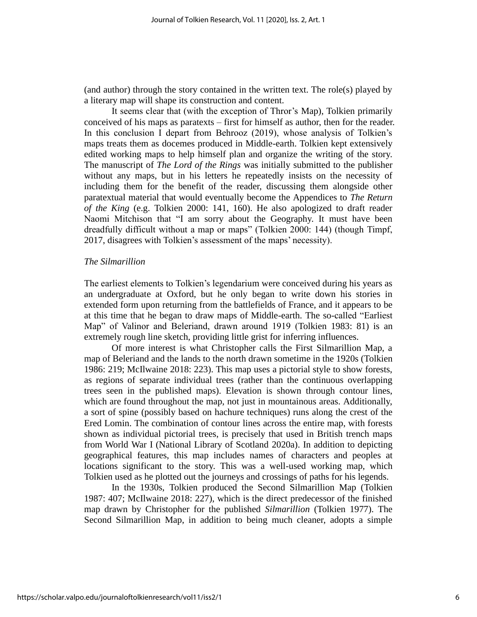(and author) through the story contained in the written text. The role(s) played by a literary map will shape its construction and content.

It seems clear that (with the exception of Thror's Map), Tolkien primarily conceived of his maps as paratexts – first for himself as author, then for the reader. In this conclusion I depart from Behrooz (2019), whose analysis of Tolkien's maps treats them as docemes produced in Middle-earth. Tolkien kept extensively edited working maps to help himself plan and organize the writing of the story. The manuscript of *The Lord of the Rings* was initially submitted to the publisher without any maps, but in his letters he repeatedly insists on the necessity of including them for the benefit of the reader, discussing them alongside other paratextual material that would eventually become the Appendices to *The Return of the King* (e.g. Tolkien 2000: 141, 160). He also apologized to draft reader Naomi Mitchison that "I am sorry about the Geography. It must have been dreadfully difficult without a map or maps" (Tolkien 2000: 144) (though Timpf, 2017, disagrees with Tolkien's assessment of the maps' necessity).

#### *The Silmarillion*

The earliest elements to Tolkien's legendarium were conceived during his years as an undergraduate at Oxford, but he only began to write down his stories in extended form upon returning from the battlefields of France, and it appears to be at this time that he began to draw maps of Middle-earth. The so-called "Earliest Map" of Valinor and Beleriand, drawn around 1919 (Tolkien 1983: 81) is an extremely rough line sketch, providing little grist for inferring influences.

Of more interest is what Christopher calls the First Silmarillion Map, a map of Beleriand and the lands to the north drawn sometime in the 1920s (Tolkien 1986: 219; McIlwaine 2018: 223). This map uses a pictorial style to show forests, as regions of separate individual trees (rather than the continuous overlapping trees seen in the published maps). Elevation is shown through contour lines, which are found throughout the map, not just in mountainous areas. Additionally, a sort of spine (possibly based on hachure techniques) runs along the crest of the Ered Lomin. The combination of contour lines across the entire map, with forests shown as individual pictorial trees, is precisely that used in British trench maps from World War I (National Library of Scotland 2020a). In addition to depicting geographical features, this map includes names of characters and peoples at locations significant to the story. This was a well-used working map, which Tolkien used as he plotted out the journeys and crossings of paths for his legends.

In the 1930s, Tolkien produced the Second Silmarillion Map (Tolkien 1987: 407; McIlwaine 2018: 227), which is the direct predecessor of the finished map drawn by Christopher for the published *Silmarillion* (Tolkien 1977). The Second Silmarillion Map, in addition to being much cleaner, adopts a simple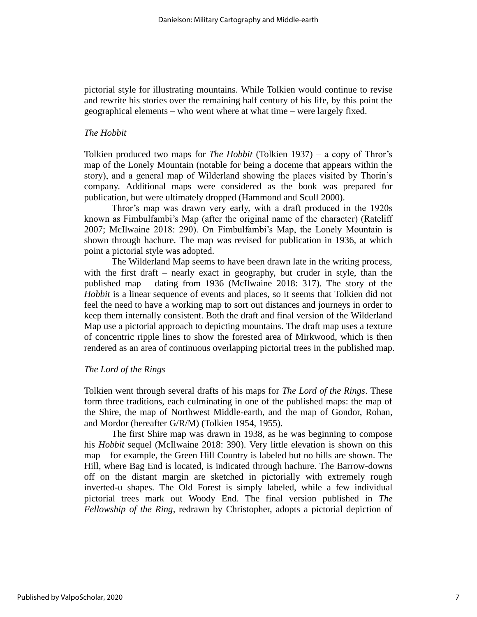pictorial style for illustrating mountains. While Tolkien would continue to revise and rewrite his stories over the remaining half century of his life, by this point the geographical elements – who went where at what time – were largely fixed.

# *The Hobbit*

Tolkien produced two maps for *The Hobbit* (Tolkien 1937) – a copy of Thror's map of the Lonely Mountain (notable for being a doceme that appears within the story), and a general map of Wilderland showing the places visited by Thorin's company. Additional maps were considered as the book was prepared for publication, but were ultimately dropped (Hammond and Scull 2000).

Thror's map was drawn very early, with a draft produced in the 1920s known as Fimbulfambi's Map (after the original name of the character) (Rateliff 2007; McIlwaine 2018: 290). On Fimbulfambi's Map, the Lonely Mountain is shown through hachure. The map was revised for publication in 1936, at which point a pictorial style was adopted.

The Wilderland Map seems to have been drawn late in the writing process, with the first draft – nearly exact in geography, but cruder in style, than the published map – dating from 1936 (McIlwaine 2018: 317). The story of the *Hobbit* is a linear sequence of events and places, so it seems that Tolkien did not feel the need to have a working map to sort out distances and journeys in order to keep them internally consistent. Both the draft and final version of the Wilderland Map use a pictorial approach to depicting mountains. The draft map uses a texture of concentric ripple lines to show the forested area of Mirkwood, which is then rendered as an area of continuous overlapping pictorial trees in the published map.

# *The Lord of the Rings*

Tolkien went through several drafts of his maps for *The Lord of the Rings*. These form three traditions, each culminating in one of the published maps: the map of the Shire, the map of Northwest Middle-earth, and the map of Gondor, Rohan, and Mordor (hereafter G/R/M) (Tolkien 1954, 1955).

The first Shire map was drawn in 1938, as he was beginning to compose his *Hobbit* sequel (McIlwaine 2018: 390). Very little elevation is shown on this map – for example, the Green Hill Country is labeled but no hills are shown. The Hill, where Bag End is located, is indicated through hachure. The Barrow-downs off on the distant margin are sketched in pictorially with extremely rough inverted-u shapes. The Old Forest is simply labeled, while a few individual pictorial trees mark out Woody End. The final version published in *The Fellowship of the Ring*, redrawn by Christopher, adopts a pictorial depiction of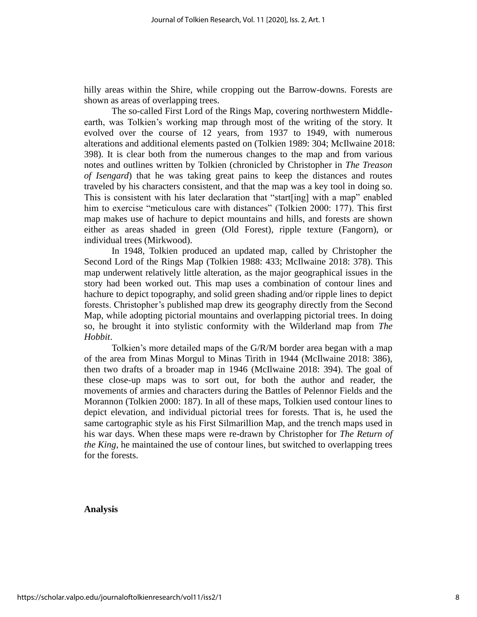hilly areas within the Shire, while cropping out the Barrow-downs. Forests are shown as areas of overlapping trees.

The so-called First Lord of the Rings Map, covering northwestern Middleearth, was Tolkien's working map through most of the writing of the story. It evolved over the course of 12 years, from 1937 to 1949, with numerous alterations and additional elements pasted on (Tolkien 1989: 304; McIlwaine 2018: 398). It is clear both from the numerous changes to the map and from various notes and outlines written by Tolkien (chronicled by Christopher in *The Treason of Isengard*) that he was taking great pains to keep the distances and routes traveled by his characters consistent, and that the map was a key tool in doing so. This is consistent with his later declaration that "start[ing] with a map" enabled him to exercise "meticulous care with distances" (Tolkien 2000: 177). This first map makes use of hachure to depict mountains and hills, and forests are shown either as areas shaded in green (Old Forest), ripple texture (Fangorn), or individual trees (Mirkwood).

In 1948, Tolkien produced an updated map, called by Christopher the Second Lord of the Rings Map (Tolkien 1988: 433; McIlwaine 2018: 378). This map underwent relatively little alteration, as the major geographical issues in the story had been worked out. This map uses a combination of contour lines and hachure to depict topography, and solid green shading and/or ripple lines to depict forests. Christopher's published map drew its geography directly from the Second Map, while adopting pictorial mountains and overlapping pictorial trees. In doing so, he brought it into stylistic conformity with the Wilderland map from *The Hobbit*.

Tolkien's more detailed maps of the G/R/M border area began with a map of the area from Minas Morgul to Minas Tirith in 1944 (McIlwaine 2018: 386), then two drafts of a broader map in 1946 (McIlwaine 2018: 394). The goal of these close-up maps was to sort out, for both the author and reader, the movements of armies and characters during the Battles of Pelennor Fields and the Morannon (Tolkien 2000: 187). In all of these maps, Tolkien used contour lines to depict elevation, and individual pictorial trees for forests. That is, he used the same cartographic style as his First Silmarillion Map, and the trench maps used in his war days. When these maps were re-drawn by Christopher for *The Return of the King*, he maintained the use of contour lines, but switched to overlapping trees for the forests.

# **Analysis**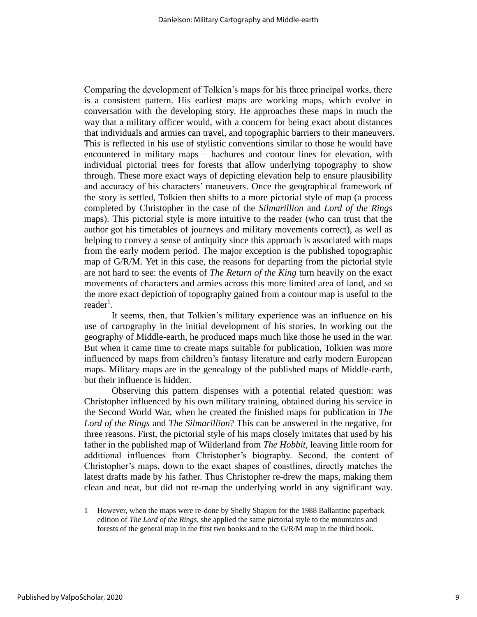Comparing the development of Tolkien's maps for his three principal works, there is a consistent pattern. His earliest maps are working maps, which evolve in conversation with the developing story. He approaches these maps in much the way that a military officer would, with a concern for being exact about distances that individuals and armies can travel, and topographic barriers to their maneuvers. This is reflected in his use of stylistic conventions similar to those he would have encountered in military maps – hachures and contour lines for elevation, with individual pictorial trees for forests that allow underlying topography to show through. These more exact ways of depicting elevation help to ensure plausibility and accuracy of his characters' maneuvers. Once the geographical framework of the story is settled, Tolkien then shifts to a more pictorial style of map (a process completed by Christopher in the case of the *Silmarillion* and *Lord of the Rings* maps). This pictorial style is more intuitive to the reader (who can trust that the author got his timetables of journeys and military movements correct), as well as helping to convey a sense of antiquity since this approach is associated with maps from the early modern period. The major exception is the published topographic map of G/R/M. Yet in this case, the reasons for departing from the pictorial style are not hard to see: the events of *The Return of the King* turn heavily on the exact movements of characters and armies across this more limited area of land, and so the more exact depiction of topography gained from a contour map is useful to the  $\text{reader}^1$ .

It seems, then, that Tolkien's military experience was an influence on his use of cartography in the initial development of his stories. In working out the geography of Middle-earth, he produced maps much like those he used in the war. But when it came time to create maps suitable for publication, Tolkien was more influenced by maps from children's fantasy literature and early modern European maps. Military maps are in the genealogy of the published maps of Middle-earth, but their influence is hidden.

Observing this pattern dispenses with a potential related question: was Christopher influenced by his own military training, obtained during his service in the Second World War, when he created the finished maps for publication in *The Lord of the Rings* and *The Silmarillion*? This can be answered in the negative, for three reasons. First, the pictorial style of his maps closely imitates that used by his father in the published map of Wilderland from *The Hobbit*, leaving little room for additional influences from Christopher's biography. Second, the content of Christopher's maps, down to the exact shapes of coastlines, directly matches the latest drafts made by his father. Thus Christopher re-drew the maps, making them clean and neat, but did not re-map the underlying world in any significant way.

<sup>1</sup> However, when the maps were re-done by Shelly Shapiro for the 1988 Ballantine paperback edition of *The Lord of the Rings*, she applied the same pictorial style to the mountains and forests of the general map in the first two books and to the G/R/M map in the third book.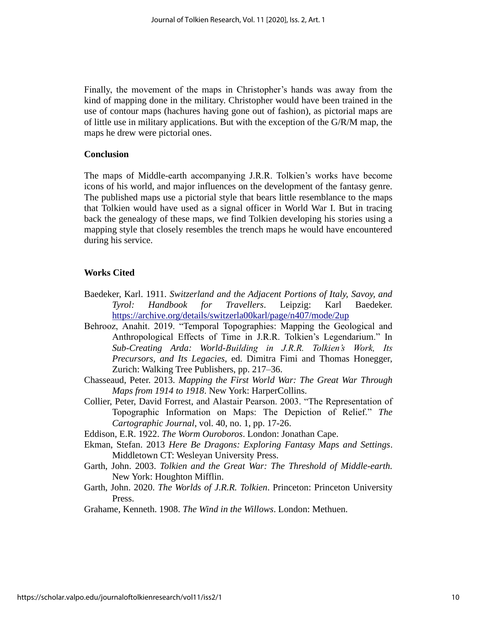Finally, the movement of the maps in Christopher's hands was away from the kind of mapping done in the military. Christopher would have been trained in the use of contour maps (hachures having gone out of fashion), as pictorial maps are of little use in military applications. But with the exception of the G/R/M map, the maps he drew were pictorial ones.

# **Conclusion**

The maps of Middle-earth accompanying J.R.R. Tolkien's works have become icons of his world, and major influences on the development of the fantasy genre. The published maps use a pictorial style that bears little resemblance to the maps that Tolkien would have used as a signal officer in World War I. But in tracing back the genealogy of these maps, we find Tolkien developing his stories using a mapping style that closely resembles the trench maps he would have encountered during his service.

# **Works Cited**

- Baedeker, Karl. 1911. *Switzerland and the Adjacent Portions of Italy, Savoy, and Tyrol: Handbook for Travellers*. Leipzig: Karl Baedeker. <https://archive.org/details/switzerla00karl/page/n407/mode/2up>
- Behrooz, Anahit. 2019. "Temporal Topographies: Mapping the Geological and Anthropological Effects of Time in J.R.R. Tolkien's Legendarium." In *Sub-Creating Arda: World-Building in J.R.R. Tolkien's Work, Its Precursors, and Its Legacies*, ed. Dimitra Fimi and Thomas Honegger, Zurich: Walking Tree Publishers, pp. 217–36.
- Chasseaud, Peter. 2013. *Mapping the First World War: The Great War Through Maps from 1914 to 1918*. New York: HarperCollins.
- Collier, Peter, David Forrest, and Alastair Pearson. 2003. "The Representation of Topographic Information on Maps: The Depiction of Relief." *The Cartographic Journal*, vol. 40, no. 1, pp. 17-26.
- Eddison, E.R. 1922. *The Worm Ouroboros*. London: Jonathan Cape.
- Ekman, Stefan. 2013 *Here Be Dragons: Exploring Fantasy Maps and Settings*. Middletown CT: Wesleyan University Press.
- Garth, John. 2003. *Tolkien and the Great War: The Threshold of Middle-earth.* New York: Houghton Mifflin.
- Garth, John. 2020. *The Worlds of J.R.R. Tolkien*. Princeton: Princeton University Press.

Grahame, Kenneth. 1908. *The Wind in the Willows*. London: Methuen.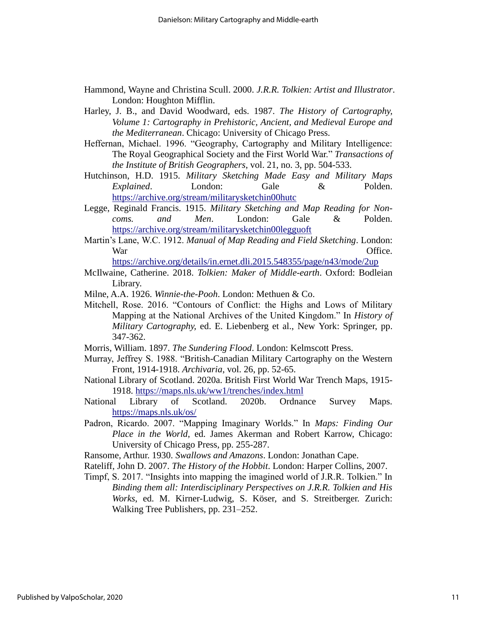- Hammond, Wayne and Christina Scull. 2000. *J.R.R. Tolkien: Artist and Illustrator*. London: Houghton Mifflin.
- Harley, J. B., and David Woodward, eds. 1987. *The History of Cartography, Volume 1: Cartography in Prehistoric, Ancient, and Medieval Europe and the Mediterranean*. Chicago: University of Chicago Press.
- Heffernan, Michael. 1996. "Geography, Cartography and Military Intelligence: The Royal Geographical Society and the First World War." *Transactions of the Institute of British Geographers*, vol. 21, no. 3, pp. 504-533.
- Hutchinson, H.D. 1915. *Military Sketching Made Easy and Military Maps Explained*. London: Gale & Polden. [https://archive.org/stream/militarysketchin00hutc](https://archive.org/stream/militarysketchin00hutc?ref=ol#page/n87/mode/2up)
- Legge, Reginald Francis. 1915. *Military Sketching and Map Reading for Noncoms. and Men*. London: Gale & Polden. [https://archive.org/stream/militarysketchin00legguoft](https://archive.org/stream/militarysketchin00legguoft?ref=ol#page/76/mode/2up)
- Martin's Lane, W.C. 1912. *Manual of Map Reading and Field Sketching*. London: War Office.

<https://archive.org/details/in.ernet.dli.2015.548355/page/n43/mode/2up>

- McIlwaine, Catherine. 2018. *Tolkien: Maker of Middle-earth*. Oxford: Bodleian Library.
- Milne, A.A. 1926. *Winnie-the-Pooh*. London: Methuen & Co.
- Mitchell, Rose. 2016. "Contours of Conflict: the Highs and Lows of Military Mapping at the National Archives of the United Kingdom." In *History of Military Cartography,* ed. E. Liebenberg et al., New York: Springer, pp. 347-362.
- Morris, William. 1897. *The Sundering Flood*. London: Kelmscott Press.
- Murray, Jeffrey S. 1988. "British-Canadian Military Cartography on the Western Front, 1914-1918. *Archivaria*, vol. 26, pp. 52-65.
- National Library of Scotland. 2020a. British First World War Trench Maps, 1915- 1918.<https://maps.nls.uk/ww1/trenches/index.html>
- National Library of Scotland. 2020b. Ordnance Survey Maps. <https://maps.nls.uk/os/>
- Padron, Ricardo. 2007. "Mapping Imaginary Worlds." In *Maps: Finding Our Place in the World*, ed. James Akerman and Robert Karrow, Chicago: University of Chicago Press, pp. 255-287.
- Ransome, Arthur. 1930. *Swallows and Amazons*. London: Jonathan Cape.
- Rateliff, John D. 2007. *The History of the Hobbit*. London: Harper Collins, 2007.
- Timpf, S. 2017. "Insights into mapping the imagined world of J.R.R. Tolkien." In *Binding them all: Interdisciplinary Perspectives on J.R.R. Tolkien and His Works*, ed. M. Kirner-Ludwig, S. Köser, and S. Streitberger. Zurich: Walking Tree Publishers, pp. 231–252.